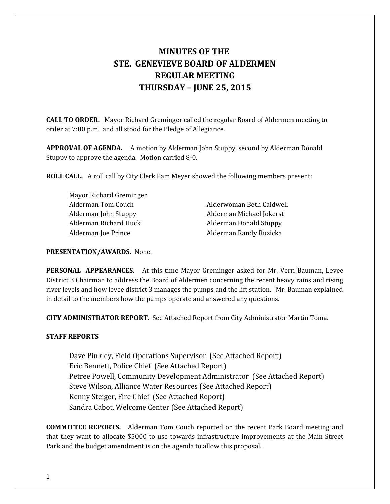# **MINUTES OF THE STE. GENEVIEVE BOARD OF ALDERMEN REGULAR MEETING THURSDAY – JUNE 25, 2015**

**CALL TO ORDER.** Mayor Richard Greminger called the regular Board of Aldermen meeting to order at 7:00 p.m. and all stood for the Pledge of Allegiance.

**APPROVAL OF AGENDA.** A motion by Alderman John Stuppy, second by Alderman Donald Stuppy to approve the agenda. Motion carried 8-0.

**ROLL CALL.** A roll call by City Clerk Pam Meyer showed the following members present:

Mayor Richard Greminger Alderman Richard Huck Alderman Donald Stuppy Alderman Joe Prince **Alderman Randy Ruzicka** 

Alderman Tom Couch Alderwoman Beth Caldwell Alderman John Stuppy Alderman Michael Jokerst

## **PRESENTATION/AWARDS.** None.

**PERSONAL APPEARANCES.** At this time Mayor Greminger asked for Mr. Vern Bauman, Levee District 3 Chairman to address the Board of Aldermen concerning the recent heavy rains and rising river levels and how levee district 3 manages the pumps and the lift station. Mr. Bauman explained in detail to the members how the pumps operate and answered any questions.

**CITY ADMINISTRATOR REPORT.** See Attached Report from City Administrator Martin Toma.

# **STAFF REPORTS**

Dave Pinkley, Field Operations Supervisor (See Attached Report) Eric Bennett, Police Chief (See Attached Report) Petree Powell, Community Development Administrator (See Attached Report) Steve Wilson, Alliance Water Resources (See Attached Report) Kenny Steiger, Fire Chief (See Attached Report) Sandra Cabot, Welcome Center (See Attached Report)

**COMMITTEE REPORTS.** Alderman Tom Couch reported on the recent Park Board meeting and that they want to allocate \$5000 to use towards infrastructure improvements at the Main Street Park and the budget amendment is on the agenda to allow this proposal.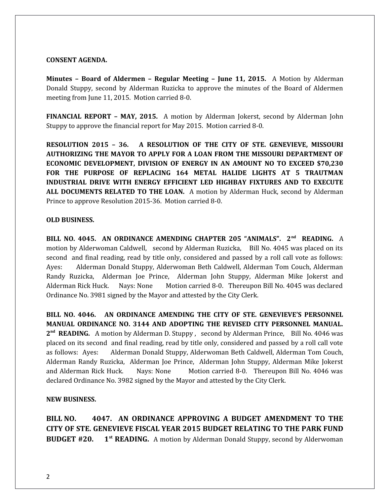#### **CONSENT AGENDA.**

**Minutes – Board of Aldermen – Regular Meeting – June 11, 2015.** A Motion by Alderman Donald Stuppy, second by Alderman Ruzicka to approve the minutes of the Board of Aldermen meeting from June 11, 2015. Motion carried 8-0.

**FINANCIAL REPORT – MAY, 2015.** A motion by Alderman Jokerst, second by Alderman John Stuppy to approve the financial report for May 2015. Motion carried 8-0.

**RESOLUTION 2015 – 36. A RESOLUTION OF THE CITY OF STE. GENEVIEVE, MISSOURI AUTHORIZING THE MAYOR TO APPLY FOR A LOAN FROM THE MISSOURI DEPARTMENT OF ECONOMIC DEVELOPMENT, DIVISION OF ENERGY IN AN AMOUNT NO TO EXCEED \$70,230 FOR THE PURPOSE OF REPLACING 164 METAL HALIDE LIGHTS AT 5 TRAUTMAN INDUSTRIAL DRIVE WITH ENERGY EFFICIENT LED HIGHBAY FIXTURES AND TO EXECUTE ALL DOCUMENTS RELATED TO THE LOAN.** A motion by Alderman Huck, second by Alderman Prince to approve Resolution 2015-36. Motion carried 8-0.

#### **OLD BUSINESS.**

**BILL NO. 4045. AN ORDINANCE AMENDING CHAPTER 205 "ANIMALS". 2nd READING.** A motion by Alderwoman Caldwell, second by Alderman Ruzicka, Bill No. 4045 was placed on its second and final reading, read by title only, considered and passed by a roll call vote as follows: Ayes: Alderman Donald Stuppy, Alderwoman Beth Caldwell, Alderman Tom Couch, Alderman Randy Ruzicka, Alderman Joe Prince, Alderman John Stuppy, Alderman Mike Jokerst and Alderman Rick Huck. Nays: None Motion carried 8-0. Thereupon Bill No. 4045 was declared Ordinance No. 3981 signed by the Mayor and attested by the City Clerk.

**BILL NO. 4046. AN ORDINANCE AMENDING THE CITY OF STE. GENEVIEVE'S PERSONNEL MANUAL ORDINANCE NO. 3144 AND ADOPTING THE REVISED CITY PERSONNEL MANUAL.** 2<sup>nd</sup> READING. A motion by Alderman D. Stuppy, second by Alderman Prince, Bill No. 4046 was placed on its second and final reading, read by title only, considered and passed by a roll call vote as follows: Ayes: Alderman Donald Stuppy, Alderwoman Beth Caldwell, Alderman Tom Couch, Alderman Randy Ruzicka, Alderman Joe Prince, Alderman John Stuppy, Alderman Mike Jokerst and Alderman Rick Huck. Nays: None Motion carried 8-0. Thereupon Bill No. 4046 was declared Ordinance No. 3982 signed by the Mayor and attested by the City Clerk.

#### **NEW BUSINESS.**

**BILL NO. 4047. AN ORDINANCE APPROVING A BUDGET AMENDMENT TO THE CITY OF STE. GENEVIEVE FISCAL YEAR 2015 BUDGET RELATING TO THE PARK FUND BUDGET #20.** 1<sup>*st*</sup> **READING.** A motion by Alderman Donald Stuppy, second by Alderwoman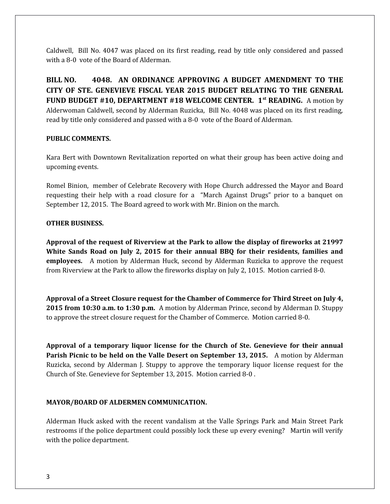Caldwell, Bill No. 4047 was placed on its first reading, read by title only considered and passed with a 8-0 vote of the Board of Alderman.

**BILL NO. 4048. AN ORDINANCE APPROVING A BUDGET AMENDMENT TO THE CITY OF STE. GENEVIEVE FISCAL YEAR 2015 BUDGET RELATING TO THE GENERAL FUND BUDGET #10, DEPARTMENT #18 WELCOME CENTER. 1st READING.** A motion by Alderwoman Caldwell, second by Alderman Ruzicka, Bill No. 4048 was placed on its first reading, read by title only considered and passed with a 8-0 vote of the Board of Alderman.

#### **PUBLIC COMMENTS.**

Kara Bert with Downtown Revitalization reported on what their group has been active doing and upcoming events.

Romel Binion, member of Celebrate Recovery with Hope Church addressed the Mayor and Board requesting their help with a road closure for a "March Against Drugs" prior to a banquet on September 12, 2015. The Board agreed to work with Mr. Binion on the march.

### **OTHER BUSINESS.**

**Approval of the request of Riverview at the Park to allow the display of fireworks at 21997 White Sands Road on July 2, 2015 for their annual BBQ for their residents, families and employees.** A motion by Alderman Huck, second by Alderman Ruzicka to approve the request from Riverview at the Park to allow the fireworks display on July 2, 1015. Motion carried 8-0.

**Approval of a Street Closure request for the Chamber of Commerce for Third Street on July 4, 2015 from 10:30 a.m. to 1:30 p.m.** A motion by Alderman Prince, second by Alderman D. Stuppy to approve the street closure request for the Chamber of Commerce. Motion carried 8-0.

**Approval of a temporary liquor license for the Church of Ste. Genevieve for their annual Parish Picnic to be held on the Valle Desert on September 13, 2015.** A motion by Alderman Ruzicka, second by Alderman J. Stuppy to approve the temporary liquor license request for the Church of Ste. Genevieve for September 13, 2015. Motion carried 8-0 .

# **MAYOR/BOARD OF ALDERMEN COMMUNICATION.**

Alderman Huck asked with the recent vandalism at the Valle Springs Park and Main Street Park restrooms if the police department could possibly lock these up every evening? Martin will verify with the police department.